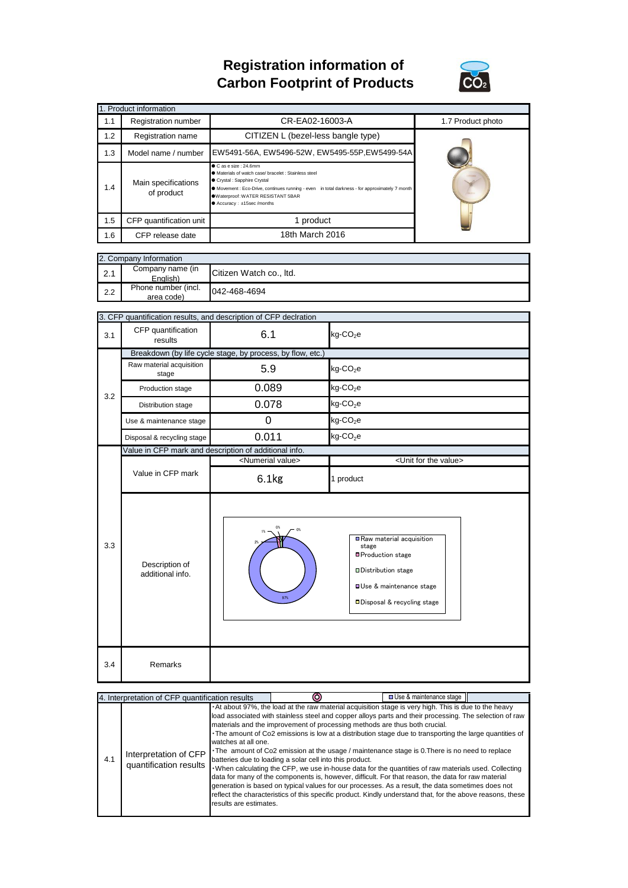## **Registration information of Carbon Footprint of Products**



| 1. Product information |                                                                                                                                                                                                                                                                                                                   |                                    |                   |  |  |  |
|------------------------|-------------------------------------------------------------------------------------------------------------------------------------------------------------------------------------------------------------------------------------------------------------------------------------------------------------------|------------------------------------|-------------------|--|--|--|
| 1.1                    | Registration number                                                                                                                                                                                                                                                                                               | CR-EA02-16003-A                    | 1.7 Product photo |  |  |  |
| 1.2                    | Registration name                                                                                                                                                                                                                                                                                                 | CITIZEN L (bezel-less bangle type) |                   |  |  |  |
| 1.3                    | EW5491-56A, EW5496-52W, EW5495-55P, EW5499-54A<br>Model name / number                                                                                                                                                                                                                                             |                                    |                   |  |  |  |
| 1.4                    | Casesize: 24.6mm<br>● Materials of watch case/ bracelet : Stainless steel<br>Crystal : Sapphire Crystal<br>Main specifications<br>• Movement : Eco-Drive, continues running - even in total darkness - for approximately 7 month<br>of product<br>.Waterproof: WATER RESISTANT 5BAR<br>● Accuracy: ±15sec /months |                                    |                   |  |  |  |
| 1.5                    | CFP quantification unit                                                                                                                                                                                                                                                                                           | 1 product                          |                   |  |  |  |
| 1.6                    | CFP release date                                                                                                                                                                                                                                                                                                  | 18th March 2016                    |                   |  |  |  |

| 2. Company Information |                                   |                         |  |
|------------------------|-----------------------------------|-------------------------|--|
| 2.1                    | Company name (in<br>English)      | Citizen Watch co., Itd. |  |
| 2.2                    | Phone number (incl.<br>area code) | 042-468-4694            |  |

|     | 3. CFP quantification results, and description of CFP declration |                                                       |                                                                                                                                                            |  |  |
|-----|------------------------------------------------------------------|-------------------------------------------------------|------------------------------------------------------------------------------------------------------------------------------------------------------------|--|--|
| 3.1 | CFP quantification<br>results                                    | 6.1                                                   | $kg$ -CO <sub>2</sub> e                                                                                                                                    |  |  |
|     | Breakdown (by life cycle stage, by process, by flow, etc.)       |                                                       |                                                                                                                                                            |  |  |
| 3.2 | Raw material acquisition<br>stage                                | 5.9                                                   | $kg$ -CO <sub>2</sub> e                                                                                                                                    |  |  |
|     | Production stage                                                 | 0.089                                                 | $kg$ -CO <sub>2</sub> e                                                                                                                                    |  |  |
|     | Distribution stage                                               | 0.078                                                 | kg-CO <sub>2</sub> e                                                                                                                                       |  |  |
|     | Use & maintenance stage                                          | 0                                                     | $kg$ -CO <sub>2</sub> e                                                                                                                                    |  |  |
|     | Disposal & recycling stage                                       | 0.011                                                 | $kg$ -CO <sub>2</sub> e                                                                                                                                    |  |  |
|     |                                                                  | Value in CFP mark and description of additional info. |                                                                                                                                                            |  |  |
|     |                                                                  | <numerial value=""></numerial>                        | <unit for="" the="" value=""></unit>                                                                                                                       |  |  |
|     | Value in CFP mark                                                | 6.1kg                                                 | 1 product                                                                                                                                                  |  |  |
| 3.3 | Description of<br>additional info.                               | 0%<br>97%                                             | Raw material acquisition<br>stage<br>■Production stage<br><b>Distribution stage</b><br><b>OUse &amp; maintenance stage</b><br>□ Disposal & recycling stage |  |  |
| 3.4 | Remarks                                                          |                                                       |                                                                                                                                                            |  |  |

| 4. Interpretation of CFP quantification results |                                                 |                                               |                                                                                                                                                                                                                                                                                                                                                                                                                                                                                                                                                                                                                                                                                                                                                                                                                                                                                                                                                                                                     | □ Use & maintenance stage |  |
|-------------------------------------------------|-------------------------------------------------|-----------------------------------------------|-----------------------------------------------------------------------------------------------------------------------------------------------------------------------------------------------------------------------------------------------------------------------------------------------------------------------------------------------------------------------------------------------------------------------------------------------------------------------------------------------------------------------------------------------------------------------------------------------------------------------------------------------------------------------------------------------------------------------------------------------------------------------------------------------------------------------------------------------------------------------------------------------------------------------------------------------------------------------------------------------------|---------------------------|--|
| 4.1                                             | Interpretation of CFP<br>quantification results | watches at all one.<br>results are estimates. | At about 97%, the load at the raw material acquisition stage is very high. This is due to the heavy<br>load associated with stainless steel and copper alloys parts and their processing. The selection of raw<br>materials and the improvement of processing methods are thus both crucial.<br>The amount of Co2 emissions is low at a distribution stage due to transporting the large quantities of<br>The amount of Co2 emission at the usage / maintenance stage is 0. There is no need to replace<br>batteries due to loading a solar cell into this product.<br>When calculating the CFP, we use in-house data for the quantities of raw materials used. Collecting<br>data for many of the components is, however, difficult. For that reason, the data for raw material<br>generation is based on typical values for our processes. As a result, the data sometimes does not<br>reflect the characteristics of this specific product. Kindly understand that, for the above reasons, these |                           |  |